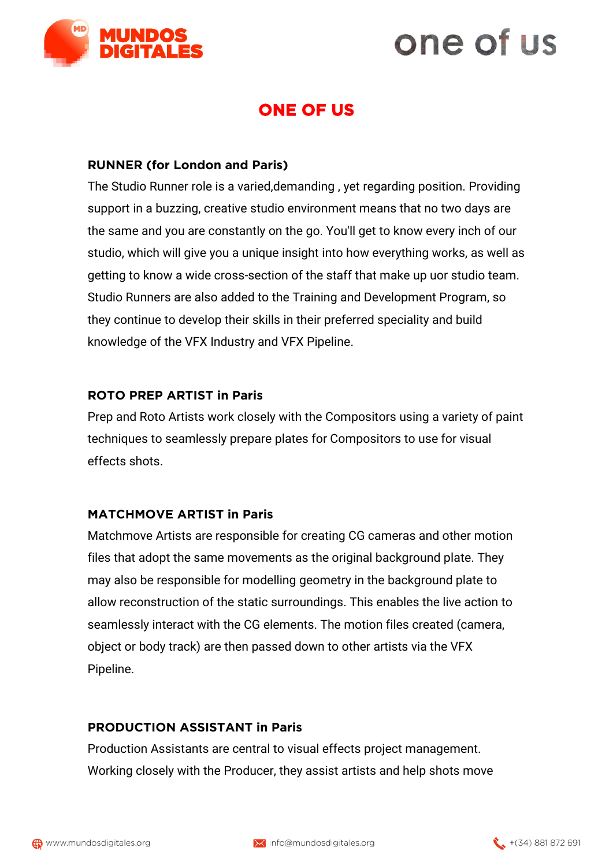

# one of us

### **ONE OF US**

#### **RUNNER (for London and Paris)**

The Studio Runner role is a varied,demanding , yet regarding position. Providing support in a buzzing, creative studio environment means that no two days are the same and you are constantly on the go. You'll get to know every inch of our studio, which will give you a unique insight into how everything works, as well as getting to know a wide cross-section of the staff that make up uor studio team. Studio Runners are also added to the Training and Development Program, so they continue to develop their skills in their preferred speciality and build knowledge of the VFX Industry and VFX Pipeline.

#### **ROTO PREP ARTIST in Paris**

Prep and Roto Artists work closely with the Compositors using a variety of paint techniques to seamlessly prepare plates for Compositors to use for visual effects shots.

#### **MATCHMOVE ARTIST in Paris**

Matchmove Artists are responsible for creating CG cameras and other motion files that adopt the same movements as the original background plate. They may also be responsible for modelling geometry in the background plate to allow reconstruction of the static surroundings. This enables the live action to seamlessly interact with the CG elements. The motion files created (camera, object or body track) are then passed down to other artists via the VFX Pipeline.

#### **PRODUCTION ASSISTANT in Paris**

Production Assistants are central to visual effects project management. Working closely with the Producer, they assist artists and help shots move